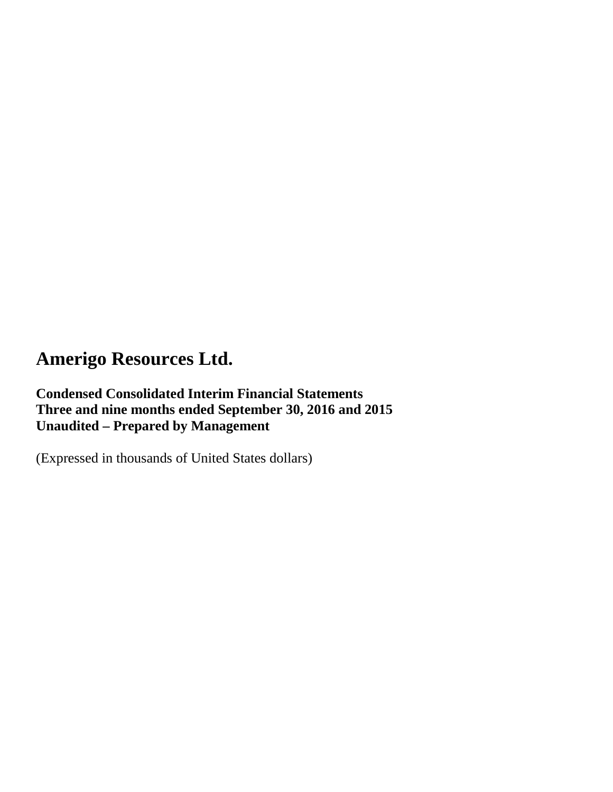# **Condensed Consolidated Interim Financial Statements Three and nine months ended September 30, 2016 and 2015 Unaudited – Prepared by Management**

(Expressed in thousands of United States dollars)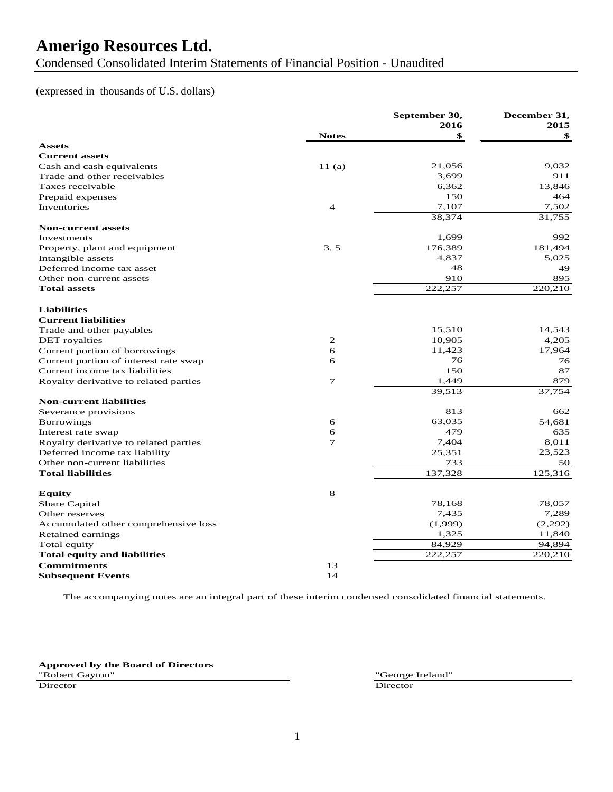Condensed Consolidated Interim Statements of Financial Position - Unaudited

### (expressed in thousands of U.S. dollars)

|                                       |                | September 30, | December 31, |
|---------------------------------------|----------------|---------------|--------------|
|                                       | <b>Notes</b>   | 2016<br>\$    | 2015<br>\$   |
| <b>Assets</b>                         |                |               |              |
| <b>Current assets</b>                 |                |               |              |
| Cash and cash equivalents             | 11(a)          | 21,056        | 9,032        |
| Trade and other receivables           |                | 3,699         | 911          |
| Taxes receivable                      |                | 6,362         | 13,846       |
| Prepaid expenses                      |                | 150           | 464          |
| Inventories                           | $\overline{4}$ | 7,107         | 7,502        |
|                                       |                | 38,374        | 31,755       |
| <b>Non-current assets</b>             |                |               |              |
| Investments                           |                | 1,699         | 992          |
| Property, plant and equipment         | 3.5            | 176,389       | 181,494      |
| Intangible assets                     |                | 4,837         | 5,025        |
| Deferred income tax asset             |                | 48            | 49           |
| Other non-current assets              |                | 910           | 895          |
| <b>Total assets</b>                   |                | 222,257       | 220,210      |
|                                       |                |               |              |
| <b>Liabilities</b>                    |                |               |              |
| <b>Current liabilities</b>            |                |               |              |
| Trade and other payables              |                | 15,510        | 14,543       |
| <b>DET</b> royalties                  | 2              | 10,905        | 4,205        |
| Current portion of borrowings         | 6              | 11,423        | 17,964       |
| Current portion of interest rate swap | 6              | 76            | 76           |
| Current income tax liabilities        |                | 150           | 87           |
| Royalty derivative to related parties | 7              | 1,449         | 879          |
|                                       |                | 39,513        | 37,754       |
| <b>Non-current liabilities</b>        |                |               |              |
| Severance provisions                  |                | 813           | 662          |
| <b>Borrowings</b>                     | 6              | 63,035        | 54,681       |
| Interest rate swap                    | 6              | 479           | 635          |
| Royalty derivative to related parties | $\overline{7}$ | 7,404         | 8,011        |
| Deferred income tax liability         |                | 25,351        | 23,523       |
| Other non-current liabilities         |                | 733           | 50           |
| <b>Total liabilities</b>              |                | 137,328       | 125,316      |
|                                       |                |               |              |
| <b>Equity</b>                         | 8              |               |              |
| Share Capital                         |                | 78,168        | 78,057       |
| Other reserves                        |                | 7,435         | 7,289        |
| Accumulated other comprehensive loss  |                | (1,999)       | (2,292)      |
| Retained earnings                     |                | 1,325         | 11,840       |
| Total equity                          |                | 84,929        | 94,894       |
| <b>Total equity and liabilities</b>   |                | 222,257       | 220,210      |
| <b>Commitments</b>                    | 13             |               |              |
| <b>Subsequent Events</b>              | 14             |               |              |

The accompanying notes are an integral part of these interim condensed consolidated financial statements.

**Approved by the Board of Directors** "Robert Gayton" "George Ireland"

Director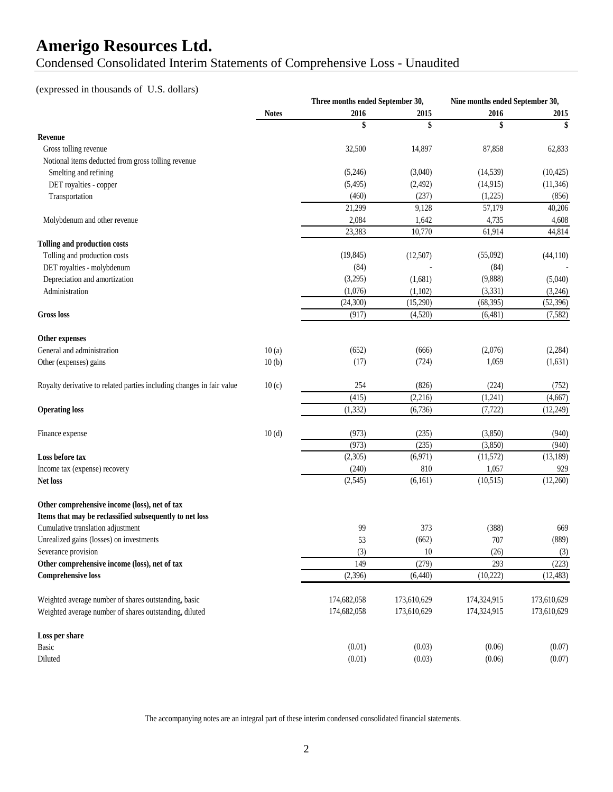Condensed Consolidated Interim Statements of Comprehensive Loss - Unaudited

## (expressed in thousands of U.S. dollars)

|                                                                       |              | Three months ended September 30, |             | Nine months ended September 30, |             |
|-----------------------------------------------------------------------|--------------|----------------------------------|-------------|---------------------------------|-------------|
|                                                                       | <b>Notes</b> | 2016                             | 2015        | 2016                            | 2015        |
|                                                                       |              | \$                               | \$          | \$                              | \$          |
| Revenue                                                               |              |                                  |             |                                 |             |
| Gross tolling revenue                                                 |              | 32,500                           | 14,897      | 87,858                          | 62,833      |
| Notional items deducted from gross tolling revenue                    |              |                                  |             |                                 |             |
| Smelting and refining                                                 |              | (5,246)                          | (3,040)     | (14, 539)                       | (10, 425)   |
| DET royalties - copper                                                |              | (5,495)                          | (2, 492)    | (14, 915)                       | (11, 346)   |
| Transportation                                                        |              | (460)                            | (237)       | (1,225)                         | (856)       |
|                                                                       |              | 21,299                           | 9,128       | 57,179                          | 40,206      |
| Molybdenum and other revenue                                          |              | 2,084                            | 1,642       | 4,735                           | 4,608       |
|                                                                       |              | 23,383                           | 10,770      | 61,914                          | 44,814      |
| <b>Tolling and production costs</b>                                   |              |                                  |             |                                 |             |
| Tolling and production costs                                          |              | (19, 845)                        | (12,507)    | (55,092)                        | (44, 110)   |
| DET royalties - molybdenum                                            |              | (84)                             |             | (84)                            |             |
| Depreciation and amortization                                         |              | (3,295)                          | (1,681)     | (9,888)                         | (5,040)     |
| Administration                                                        |              | (1,076)                          | (1,102)     | (3, 331)                        | (3,246)     |
|                                                                       |              | (24, 300)                        | (15,290)    | (68, 395)                       | (52, 396)   |
| <b>Gross</b> loss                                                     |              | (917)                            | (4,520)     | (6,481)                         | (7,582)     |
| Other expenses                                                        |              |                                  |             |                                 |             |
| General and administration                                            | 10(a)        | (652)                            | (666)       | (2,076)                         | (2, 284)    |
| Other (expenses) gains                                                | 10(b)        | (17)                             | (724)       | 1,059                           | (1,631)     |
| Royalty derivative to related parties including changes in fair value | 10(c)        | 254                              | (826)       | (224)                           | (752)       |
|                                                                       |              | (415)                            | (2,216)     | (1,241)                         | (4,667)     |
| <b>Operating loss</b>                                                 |              | (1, 332)                         | (6,736)     | (7, 722)                        | (12, 249)   |
|                                                                       | 10(d)        | (973)                            | (235)       | (3,850)                         | (940)       |
| Finance expense                                                       |              | (973)                            | (235)       | (3,850)                         | (940)       |
| Loss before tax                                                       |              | (2,305)                          | (6,971)     | (11, 572)                       | (13, 189)   |
|                                                                       |              |                                  |             |                                 |             |
| Income tax (expense) recovery                                         |              | (240)                            | 810         | 1,057                           | 929         |
| <b>Net loss</b>                                                       |              | (2,545)                          | (6, 161)    | (10, 515)                       | (12,260)    |
| Other comprehensive income (loss), net of tax                         |              |                                  |             |                                 |             |
| Items that may be reclassified subsequently to net loss               |              |                                  |             |                                 |             |
| Cumulative translation adjustment                                     |              | 99                               | 373         | (388)                           | 669         |
| Unrealized gains (losses) on investments                              |              | 53                               | (662)       | 707                             | (889)       |
| Severance provision                                                   |              | (3)                              | $10\,$      | (26)                            | (3)         |
| Other comprehensive income (loss), net of tax                         |              | 149                              | (279)       | 293                             | (223)       |
| <b>Comprehensive loss</b>                                             |              | (2,396)                          | (6,440)     | (10, 222)                       | (12, 483)   |
| Weighted average number of shares outstanding, basic                  |              | 174,682,058                      | 173,610,629 | 174,324,915                     | 173,610,629 |
| Weighted average number of shares outstanding, diluted                |              | 174,682,058                      | 173,610,629 | 174,324,915                     | 173,610,629 |
| Loss per share                                                        |              |                                  |             |                                 |             |
| Basic                                                                 |              | (0.01)                           | (0.03)      | (0.06)                          | (0.07)      |
| Diluted                                                               |              | (0.01)                           | (0.03)      | (0.06)                          | (0.07)      |
|                                                                       |              |                                  |             |                                 |             |

The accompanying notes are an integral part of these interim condensed consolidated financial statements.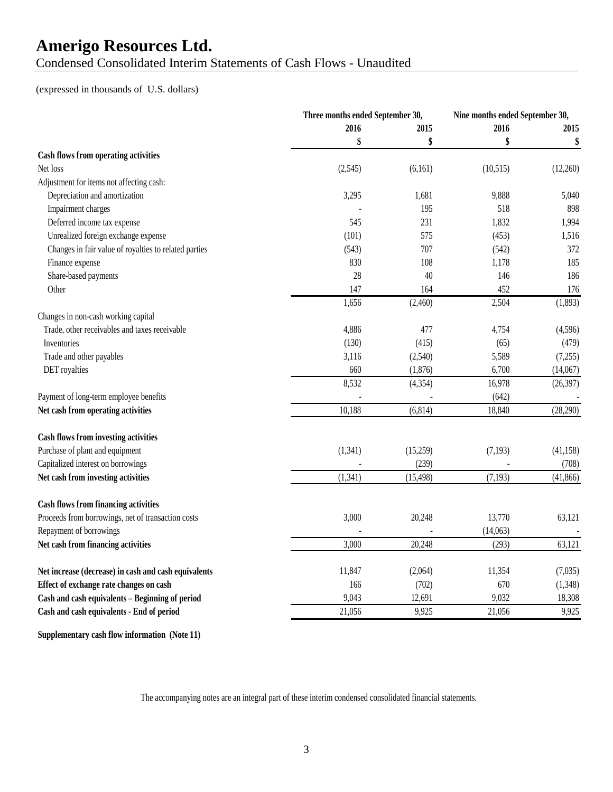Condensed Consolidated Interim Statements of Cash Flows - Unaudited

#### (expressed in thousands of U.S. dollars)

|                                                       |          | Three months ended September 30, |          | Nine months ended September 30, |  |
|-------------------------------------------------------|----------|----------------------------------|----------|---------------------------------|--|
|                                                       | 2016     | 2015                             | 2016     | 2015                            |  |
|                                                       | \$       | \$                               | \$       | \$                              |  |
| Cash flows from operating activities                  |          |                                  |          |                                 |  |
| Net loss                                              | (2,545)  | (6,161)                          | (10,515) | (12,260)                        |  |
| Adjustment for items not affecting cash:              |          |                                  |          |                                 |  |
| Depreciation and amortization                         | 3,295    | 1,681                            | 9,888    | 5,040                           |  |
| Impairment charges                                    |          | 195                              | 518      | 898                             |  |
| Deferred income tax expense                           | 545      | 231                              | 1,832    | 1,994                           |  |
| Unrealized foreign exchange expense                   | (101)    | 575                              | (453)    | 1,516                           |  |
| Changes in fair value of royalties to related parties | (543)    | 707                              | (542)    | 372                             |  |
| Finance expense                                       | 830      | 108                              | 1,178    | 185                             |  |
| Share-based payments                                  | 28       | 40                               | 146      | 186                             |  |
| Other                                                 | 147      | 164                              | 452      | 176                             |  |
|                                                       | 1,656    | (2,460)                          | 2,504    | (1,893)                         |  |
| Changes in non-cash working capital                   |          |                                  |          |                                 |  |
| Trade, other receivables and taxes receivable         | 4,886    | 477                              | 4,754    | (4,596)                         |  |
| Inventories                                           | (130)    | (415)                            | (65)     | (479)                           |  |
| Trade and other payables                              | 3,116    | (2,540)                          | 5,589    | (7,255)                         |  |
| DET royalties                                         | 660      | (1,876)                          | 6,700    | (14,067)                        |  |
|                                                       | 8,532    | (4, 354)                         | 16,978   | (26, 397)                       |  |
| Payment of long-term employee benefits                |          |                                  | (642)    |                                 |  |
| Net cash from operating activities                    | 10,188   | (6, 814)                         | 18,840   | (28, 290)                       |  |
|                                                       |          |                                  |          |                                 |  |
| <b>Cash flows from investing activities</b>           |          |                                  |          |                                 |  |
| Purchase of plant and equipment                       | (1,341)  | (15,259)                         | (7, 193) | (41, 158)                       |  |
| Capitalized interest on borrowings                    |          | (239)                            |          | (708)                           |  |
| Net cash from investing activities                    | (1, 341) | (15, 498)                        | (7, 193) | (41, 866)                       |  |
|                                                       |          |                                  |          |                                 |  |
| <b>Cash flows from financing activities</b>           |          |                                  |          |                                 |  |
| Proceeds from borrowings, net of transaction costs    | 3,000    | 20,248                           | 13,770   | 63,121                          |  |
| Repayment of borrowings                               |          |                                  | (14,063) |                                 |  |
| Net cash from financing activities                    | 3,000    | 20,248                           | (293)    | 63,121                          |  |
|                                                       |          |                                  |          |                                 |  |
| Net increase (decrease) in cash and cash equivalents  | 11,847   | (2,064)                          | 11,354   | (7,035)                         |  |
| Effect of exchange rate changes on cash               | 166      | (702)                            | 670      | (1,348)                         |  |
| Cash and cash equivalents - Beginning of period       | 9,043    | 12,691                           | 9,032    | 18,308                          |  |
| Cash and cash equivalents - End of period             | 21,056   | 9,925                            | 21,056   | 9,925                           |  |
|                                                       |          |                                  |          |                                 |  |

**Supplementary cash flow information (Note 11)**

The accompanying notes are an integral part of these interim condensed consolidated financial statements.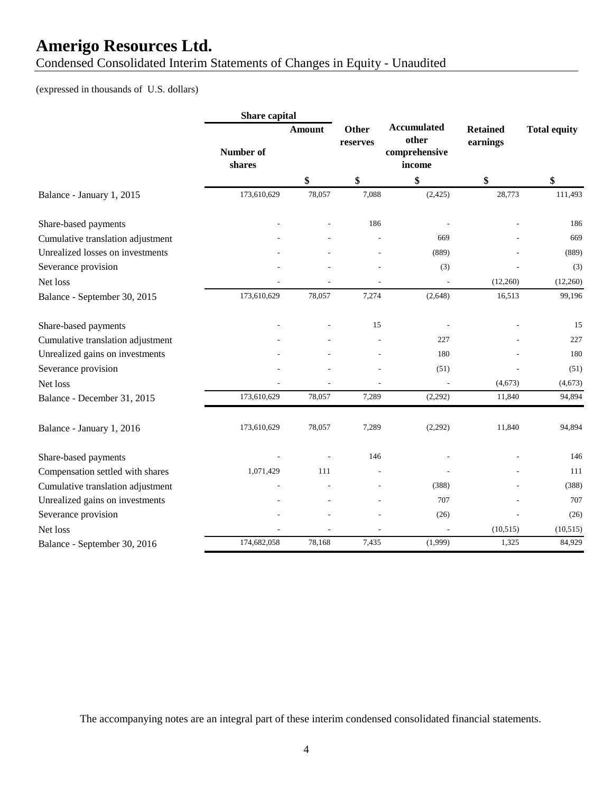Condensed Consolidated Interim Statements of Changes in Equity - Unaudited

## (expressed in thousands of U.S. dollars)

|                                   | Share capital       |               |                          |                                                        |                             |                     |  |
|-----------------------------------|---------------------|---------------|--------------------------|--------------------------------------------------------|-----------------------------|---------------------|--|
|                                   | Number of<br>shares | <b>Amount</b> | <b>Other</b><br>reserves | <b>Accumulated</b><br>other<br>comprehensive<br>income | <b>Retained</b><br>earnings | <b>Total equity</b> |  |
|                                   |                     | \$            | \$                       | \$                                                     | \$                          | \$                  |  |
| Balance - January 1, 2015         | 173,610,629         | 78,057        | 7,088                    | (2, 425)                                               | 28,773                      | 111,493             |  |
| Share-based payments              |                     |               | 186                      |                                                        |                             | 186                 |  |
| Cumulative translation adjustment |                     |               |                          | 669                                                    |                             | 669                 |  |
| Unrealized losses on investments  |                     |               |                          | (889)                                                  |                             | (889)               |  |
| Severance provision               |                     |               |                          | (3)                                                    |                             | (3)                 |  |
| Net loss                          |                     |               |                          |                                                        | (12,260)                    | (12,260)            |  |
| Balance - September 30, 2015      | 173,610,629         | 78,057        | 7,274                    | (2,648)                                                | 16,513                      | 99,196              |  |
| Share-based payments              |                     |               | 15                       |                                                        |                             | 15                  |  |
| Cumulative translation adjustment |                     |               |                          | 227                                                    |                             | 227                 |  |
| Unrealized gains on investments   |                     |               |                          | 180                                                    |                             | 180                 |  |
| Severance provision               |                     |               |                          | (51)                                                   |                             | (51)                |  |
| Net loss                          |                     |               |                          |                                                        | (4,673)                     | (4, 673)            |  |
| Balance - December 31, 2015       | 173,610,629         | 78,057        | 7,289                    | (2,292)                                                | 11,840                      | 94,894              |  |
| Balance - January 1, 2016         | 173,610,629         | 78,057        | 7,289                    | (2,292)                                                | 11,840                      | 94,894              |  |
| Share-based payments              |                     |               | 146                      |                                                        |                             | 146                 |  |
| Compensation settled with shares  | 1,071,429           | 111           |                          |                                                        |                             | 111                 |  |
| Cumulative translation adjustment |                     |               |                          | (388)                                                  |                             | (388)               |  |
| Unrealized gains on investments   |                     |               |                          | 707                                                    |                             | 707                 |  |
| Severance provision               |                     |               |                          | (26)                                                   |                             | (26)                |  |
| Net loss                          |                     |               |                          |                                                        | (10, 515)                   | (10, 515)           |  |
| Balance - September 30, 2016      | 174,682,058         | 78,168        | 7,435                    | (1,999)                                                | 1,325                       | 84,929              |  |

The accompanying notes are an integral part of these interim condensed consolidated financial statements.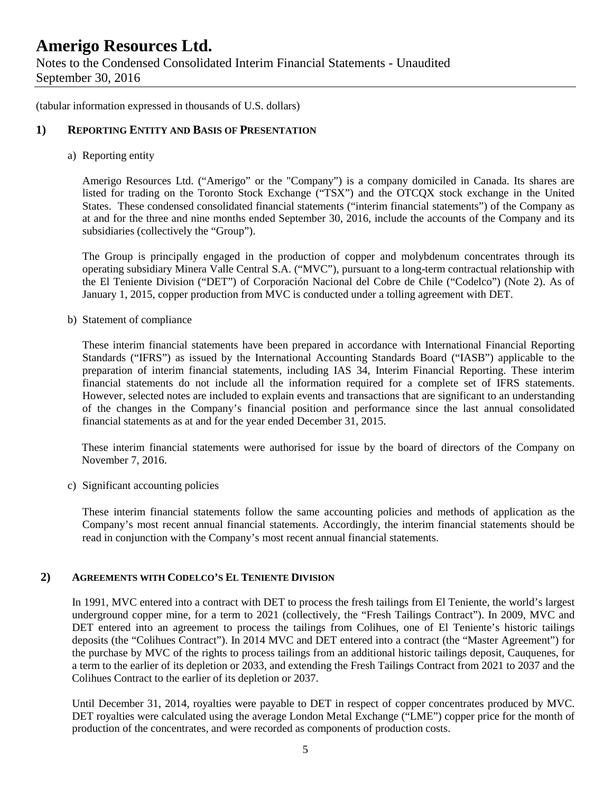Notes to the Condensed Consolidated Interim Financial Statements - Unaudited September 30, 2016

(tabular information expressed in thousands of U.S. dollars)

### **1) REPORTING ENTITY AND BASIS OF PRESENTATION**

#### a) Reporting entity

Amerigo Resources Ltd. ("Amerigo" or the "Company") is a company domiciled in Canada. Its shares are listed for trading on the Toronto Stock Exchange ("TSX") and the OTCQX stock exchange in the United States. These condensed consolidated financial statements ("interim financial statements") of the Company as at and for the three and nine months ended September 30, 2016, include the accounts of the Company and its subsidiaries (collectively the "Group").

The Group is principally engaged in the production of copper and molybdenum concentrates through its operating subsidiary Minera Valle Central S.A. ("MVC"), pursuant to a long-term contractual relationship with the El Teniente Division ("DET") of Corporación Nacional del Cobre de Chile ("Codelco") (Note 2). As of January 1, 2015, copper production from MVC is conducted under a tolling agreement with DET.

b) Statement of compliance

These interim financial statements have been prepared in accordance with International Financial Reporting Standards ("IFRS") as issued by the International Accounting Standards Board ("IASB") applicable to the preparation of interim financial statements, including IAS 34, Interim Financial Reporting. These interim financial statements do not include all the information required for a complete set of IFRS statements. However, selected notes are included to explain events and transactions that are significant to an understanding of the changes in the Company's financial position and performance since the last annual consolidated financial statements as at and for the year ended December 31, 2015.

These interim financial statements were authorised for issue by the board of directors of the Company on November 7, 2016.

c) Significant accounting policies

These interim financial statements follow the same accounting policies and methods of application as the Company's most recent annual financial statements. Accordingly, the interim financial statements should be read in conjunction with the Company's most recent annual financial statements.

### **2) AGREEMENTS WITH CODELCO'S EL TENIENTE DIVISION**

In 1991, MVC entered into a contract with DET to process the fresh tailings from El Teniente, the world's largest underground copper mine, for a term to 2021 (collectively, the "Fresh Tailings Contract"). In 2009, MVC and DET entered into an agreement to process the tailings from Colihues, one of El Teniente's historic tailings deposits (the "Colihues Contract"). In 2014 MVC and DET entered into a contract (the "Master Agreement") for the purchase by MVC of the rights to process tailings from an additional historic tailings deposit, Cauquenes, for a term to the earlier of its depletion or 2033, and extending the Fresh Tailings Contract from 2021 to 2037 and the Colihues Contract to the earlier of its depletion or 2037.

Until December 31, 2014, royalties were payable to DET in respect of copper concentrates produced by MVC. DET royalties were calculated using the average London Metal Exchange ("LME") copper price for the month of production of the concentrates, and were recorded as components of production costs.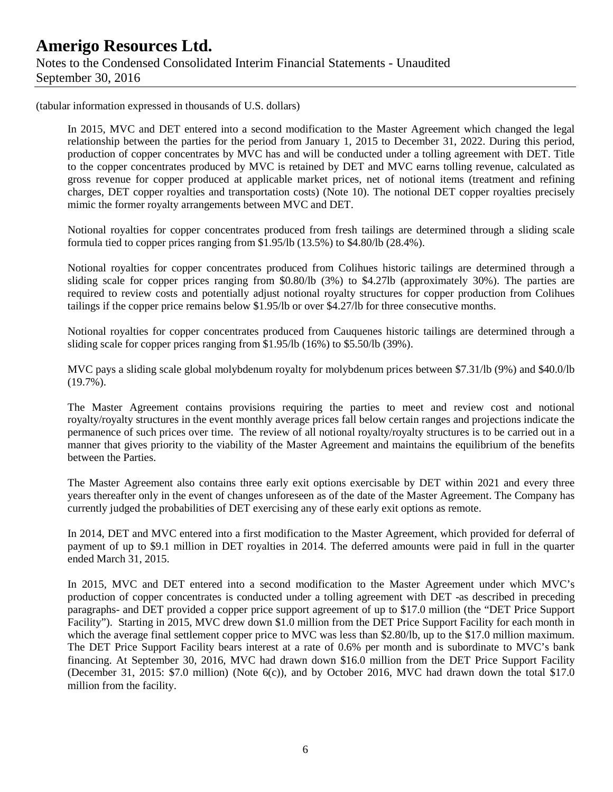(tabular information expressed in thousands of U.S. dollars)

In 2015, MVC and DET entered into a second modification to the Master Agreement which changed the legal relationship between the parties for the period from January 1, 2015 to December 31, 2022. During this period, production of copper concentrates by MVC has and will be conducted under a tolling agreement with DET. Title to the copper concentrates produced by MVC is retained by DET and MVC earns tolling revenue, calculated as gross revenue for copper produced at applicable market prices, net of notional items (treatment and refining charges, DET copper royalties and transportation costs) (Note 10). The notional DET copper royalties precisely mimic the former royalty arrangements between MVC and DET.

Notional royalties for copper concentrates produced from fresh tailings are determined through a sliding scale formula tied to copper prices ranging from \$1.95/lb (13.5%) to \$4.80/lb (28.4%).

Notional royalties for copper concentrates produced from Colihues historic tailings are determined through a sliding scale for copper prices ranging from \$0.80/lb (3%) to \$4.27lb (approximately 30%). The parties are required to review costs and potentially adjust notional royalty structures for copper production from Colihues tailings if the copper price remains below \$1.95/lb or over \$4.27/lb for three consecutive months.

Notional royalties for copper concentrates produced from Cauquenes historic tailings are determined through a sliding scale for copper prices ranging from \$1.95/lb (16%) to \$5.50/lb (39%).

MVC pays a sliding scale global molybdenum royalty for molybdenum prices between \$7.31/lb (9%) and \$40.0/lb (19.7%).

The Master Agreement contains provisions requiring the parties to meet and review cost and notional royalty/royalty structures in the event monthly average prices fall below certain ranges and projections indicate the permanence of such prices over time. The review of all notional royalty/royalty structures is to be carried out in a manner that gives priority to the viability of the Master Agreement and maintains the equilibrium of the benefits between the Parties.

The Master Agreement also contains three early exit options exercisable by DET within 2021 and every three years thereafter only in the event of changes unforeseen as of the date of the Master Agreement. The Company has currently judged the probabilities of DET exercising any of these early exit options as remote.

In 2014, DET and MVC entered into a first modification to the Master Agreement, which provided for deferral of payment of up to \$9.1 million in DET royalties in 2014. The deferred amounts were paid in full in the quarter ended March 31, 2015.

In 2015, MVC and DET entered into a second modification to the Master Agreement under which MVC's production of copper concentrates is conducted under a tolling agreement with DET -as described in preceding paragraphs- and DET provided a copper price support agreement of up to \$17.0 million (the "DET Price Support Facility"). Starting in 2015, MVC drew down \$1.0 million from the DET Price Support Facility for each month in which the average final settlement copper price to MVC was less than \$2.80/lb, up to the \$17.0 million maximum. The DET Price Support Facility bears interest at a rate of 0.6% per month and is subordinate to MVC's bank financing. At September 30, 2016, MVC had drawn down \$16.0 million from the DET Price Support Facility (December 31, 2015: \$7.0 million) (Note 6(c)), and by October 2016, MVC had drawn down the total \$17.0 million from the facility.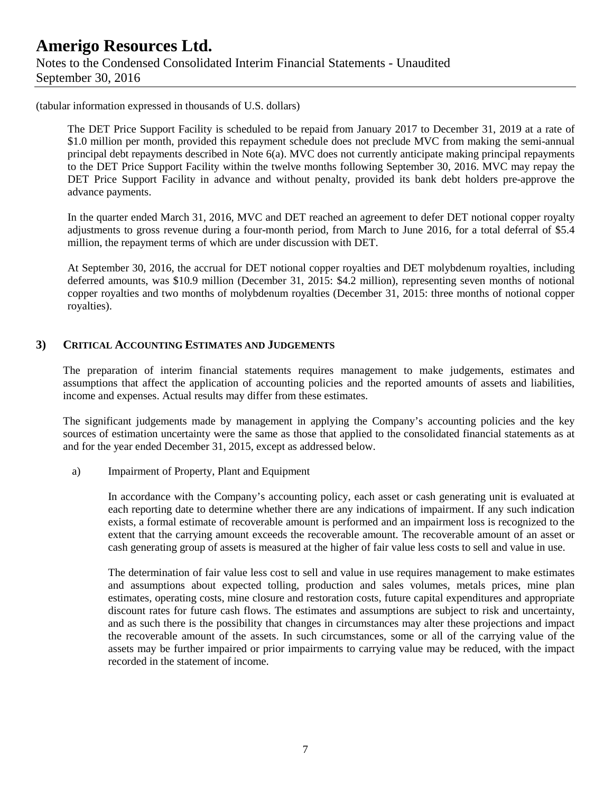(tabular information expressed in thousands of U.S. dollars)

The DET Price Support Facility is scheduled to be repaid from January 2017 to December 31, 2019 at a rate of \$1.0 million per month, provided this repayment schedule does not preclude MVC from making the semi-annual principal debt repayments described in Note 6(a). MVC does not currently anticipate making principal repayments to the DET Price Support Facility within the twelve months following September 30, 2016. MVC may repay the DET Price Support Facility in advance and without penalty, provided its bank debt holders pre-approve the advance payments.

In the quarter ended March 31, 2016, MVC and DET reached an agreement to defer DET notional copper royalty adjustments to gross revenue during a four-month period, from March to June 2016, for a total deferral of \$5.4 million, the repayment terms of which are under discussion with DET.

At September 30, 2016, the accrual for DET notional copper royalties and DET molybdenum royalties, including deferred amounts, was \$10.9 million (December 31, 2015: \$4.2 million), representing seven months of notional copper royalties and two months of molybdenum royalties (December 31, 2015: three months of notional copper royalties).

### **3) CRITICAL ACCOUNTING ESTIMATES AND JUDGEMENTS**

The preparation of interim financial statements requires management to make judgements, estimates and assumptions that affect the application of accounting policies and the reported amounts of assets and liabilities, income and expenses. Actual results may differ from these estimates.

The significant judgements made by management in applying the Company's accounting policies and the key sources of estimation uncertainty were the same as those that applied to the consolidated financial statements as at and for the year ended December 31, 2015, except as addressed below.

a) Impairment of Property, Plant and Equipment

In accordance with the Company's accounting policy, each asset or cash generating unit is evaluated at each reporting date to determine whether there are any indications of impairment. If any such indication exists, a formal estimate of recoverable amount is performed and an impairment loss is recognized to the extent that the carrying amount exceeds the recoverable amount. The recoverable amount of an asset or cash generating group of assets is measured at the higher of fair value less costs to sell and value in use.

The determination of fair value less cost to sell and value in use requires management to make estimates and assumptions about expected tolling, production and sales volumes, metals prices, mine plan estimates, operating costs, mine closure and restoration costs, future capital expenditures and appropriate discount rates for future cash flows. The estimates and assumptions are subject to risk and uncertainty, and as such there is the possibility that changes in circumstances may alter these projections and impact the recoverable amount of the assets. In such circumstances, some or all of the carrying value of the assets may be further impaired or prior impairments to carrying value may be reduced, with the impact recorded in the statement of income.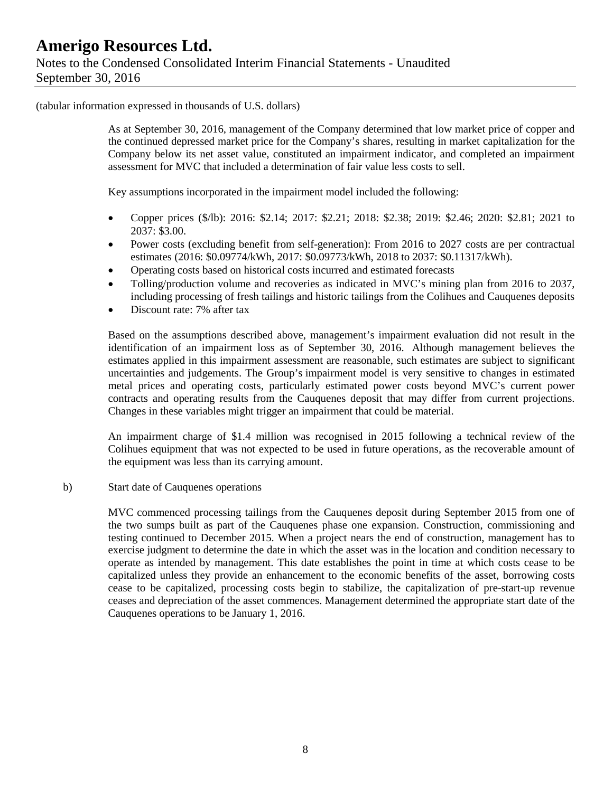(tabular information expressed in thousands of U.S. dollars)

As at September 30, 2016, management of the Company determined that low market price of copper and the continued depressed market price for the Company's shares, resulting in market capitalization for the Company below its net asset value, constituted an impairment indicator, and completed an impairment assessment for MVC that included a determination of fair value less costs to sell.

Key assumptions incorporated in the impairment model included the following:

- Copper prices (\$/lb): 2016: \$2.14; 2017: \$2.21; 2018: \$2.38; 2019: \$2.46; 2020: \$2.81; 2021 to 2037: \$3.00.
- Power costs (excluding benefit from self-generation): From 2016 to 2027 costs are per contractual estimates (2016: \$0.09774/kWh, 2017: \$0.09773/kWh, 2018 to 2037: \$0.11317/kWh).
- Operating costs based on historical costs incurred and estimated forecasts
- Tolling/production volume and recoveries as indicated in MVC's mining plan from 2016 to 2037, including processing of fresh tailings and historic tailings from the Colihues and Cauquenes deposits
- Discount rate: 7% after tax

Based on the assumptions described above, management's impairment evaluation did not result in the identification of an impairment loss as of September 30, 2016. Although management believes the estimates applied in this impairment assessment are reasonable, such estimates are subject to significant uncertainties and judgements. The Group's impairment model is very sensitive to changes in estimated metal prices and operating costs, particularly estimated power costs beyond MVC's current power contracts and operating results from the Cauquenes deposit that may differ from current projections. Changes in these variables might trigger an impairment that could be material.

An impairment charge of \$1.4 million was recognised in 2015 following a technical review of the Colihues equipment that was not expected to be used in future operations, as the recoverable amount of the equipment was less than its carrying amount.

b) Start date of Cauquenes operations

MVC commenced processing tailings from the Cauquenes deposit during September 2015 from one of the two sumps built as part of the Cauquenes phase one expansion. Construction, commissioning and testing continued to December 2015. When a project nears the end of construction, management has to exercise judgment to determine the date in which the asset was in the location and condition necessary to operate as intended by management. This date establishes the point in time at which costs cease to be capitalized unless they provide an enhancement to the economic benefits of the asset, borrowing costs cease to be capitalized, processing costs begin to stabilize, the capitalization of pre-start-up revenue ceases and depreciation of the asset commences. Management determined the appropriate start date of the Cauquenes operations to be January 1, 2016.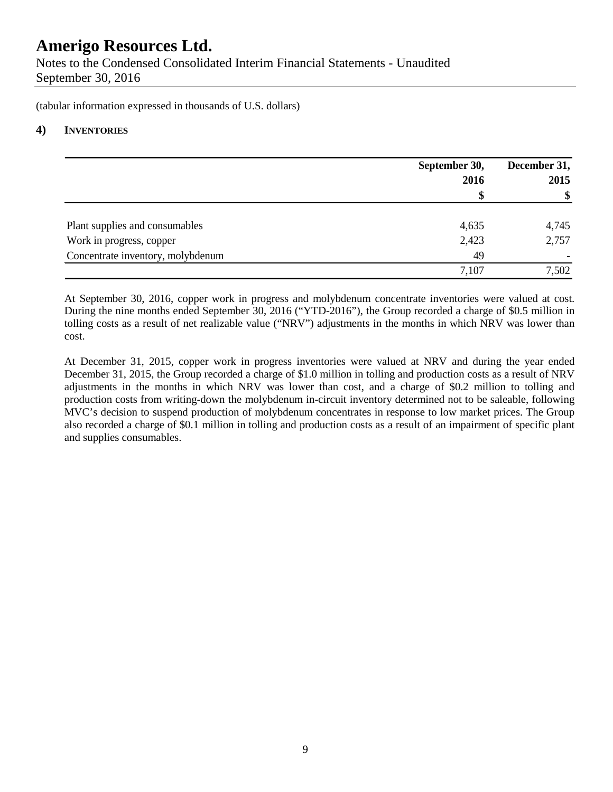Notes to the Condensed Consolidated Interim Financial Statements - Unaudited September 30, 2016

(tabular information expressed in thousands of U.S. dollars)

### **4) INVENTORIES**

|                                   | September 30,<br>2016 | December 31,<br>2015 |  |
|-----------------------------------|-----------------------|----------------------|--|
|                                   | \$                    | \$                   |  |
| Plant supplies and consumables    | 4,635                 | 4,745                |  |
| Work in progress, copper          | 2,423                 | 2,757                |  |
| Concentrate inventory, molybdenum | 49                    |                      |  |
|                                   | 7,107                 | 7,502                |  |

At September 30, 2016, copper work in progress and molybdenum concentrate inventories were valued at cost. During the nine months ended September 30, 2016 ("YTD-2016"), the Group recorded a charge of \$0.5 million in tolling costs as a result of net realizable value ("NRV") adjustments in the months in which NRV was lower than cost.

At December 31, 2015, copper work in progress inventories were valued at NRV and during the year ended December 31, 2015, the Group recorded a charge of \$1.0 million in tolling and production costs as a result of NRV adjustments in the months in which NRV was lower than cost, and a charge of \$0.2 million to tolling and production costs from writing-down the molybdenum in-circuit inventory determined not to be saleable, following MVC's decision to suspend production of molybdenum concentrates in response to low market prices. The Group also recorded a charge of \$0.1 million in tolling and production costs as a result of an impairment of specific plant and supplies consumables.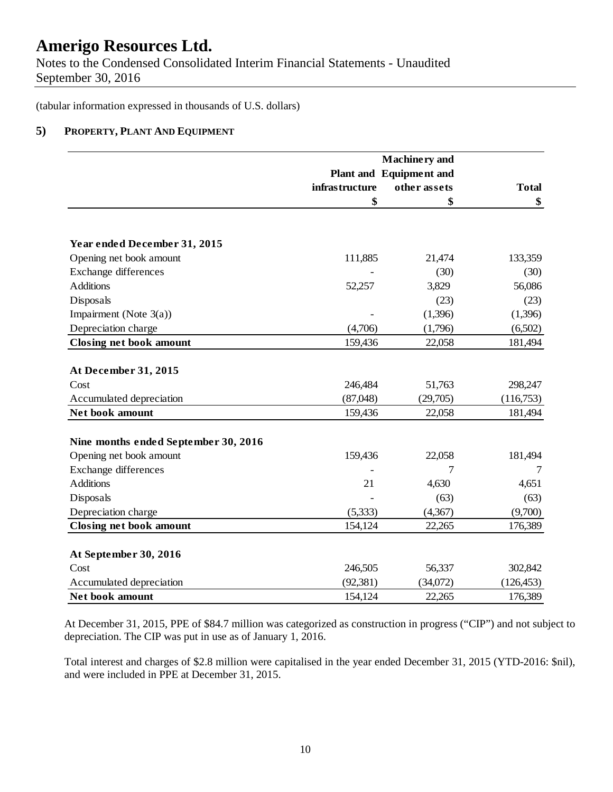Notes to the Condensed Consolidated Interim Financial Statements - Unaudited September 30, 2016

(tabular information expressed in thousands of U.S. dollars)

### **5) PROPERTY, PLANT AND EQUIPMENT**

|                                      |                | Plant and Equipment and |              |
|--------------------------------------|----------------|-------------------------|--------------|
|                                      | infrastructure | other assets            | <b>Total</b> |
|                                      | \$             | \$                      | \$           |
| Year ended December 31, 2015         |                |                         |              |
| Opening net book amount              | 111,885        | 21,474                  | 133,359      |
| <b>Exchange differences</b>          |                | (30)                    | (30)         |
| <b>Additions</b>                     | 52,257         | 3,829                   | 56,086       |
| Disposals                            |                | (23)                    | (23)         |
| Impairment (Note 3(a))               |                | (1,396)                 | (1,396)      |
| Depreciation charge                  | (4,706)        | (1,796)                 | (6,502)      |
| <b>Closing net book amount</b>       | 159,436        | 22,058                  | 181,494      |
| At December 31, 2015                 |                |                         |              |
| Cost                                 | 246,484        | 51,763                  | 298,247      |
| Accumulated depreciation             | (87,048)       | (29,705)                | (116,753)    |
| Net book amount                      | 159,436        | 22,058                  | 181,494      |
| Nine months ended September 30, 2016 |                |                         |              |
| Opening net book amount              | 159,436        | 22,058                  | 181,494      |
| <b>Exchange differences</b>          |                |                         |              |
| <b>Additions</b>                     | 21             | 4,630                   | 4,651        |
| Disposals                            |                | (63)                    | (63)         |
| Depreciation charge                  | (5,333)        | (4,367)                 | (9,700)      |
| <b>Closing net book amount</b>       | 154,124        | 22,265                  | 176,389      |
| At September 30, 2016                |                |                         |              |
| Cost                                 | 246,505        | 56,337                  | 302,842      |
| Accumulated depreciation             | (92, 381)      | (34,072)                | (126, 453)   |
| Net book amount                      | 154,124        | 22,265                  | 176,389      |

At December 31, 2015, PPE of \$84.7 million was categorized as construction in progress ("CIP") and not subject to depreciation. The CIP was put in use as of January 1, 2016.

Total interest and charges of \$2.8 million were capitalised in the year ended December 31, 2015 (YTD-2016: \$nil), and were included in PPE at December 31, 2015.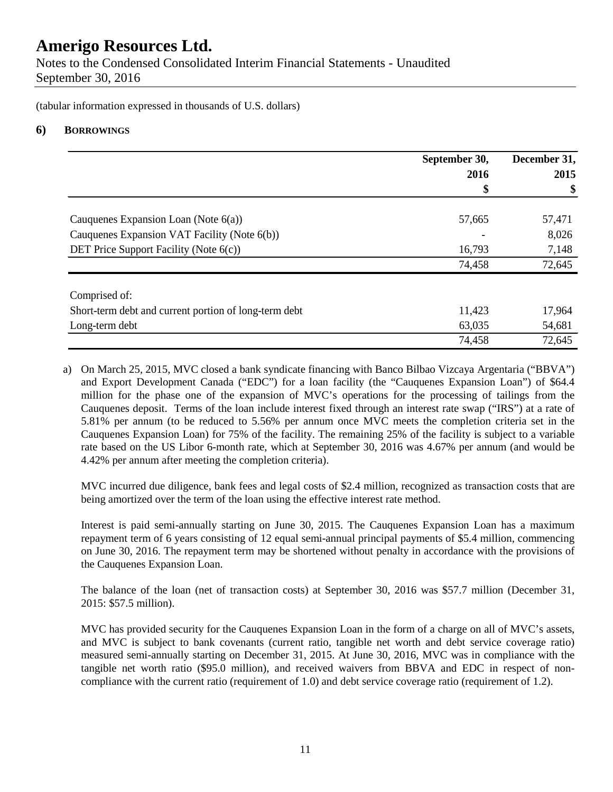Notes to the Condensed Consolidated Interim Financial Statements - Unaudited September 30, 2016

(tabular information expressed in thousands of U.S. dollars)

## **6) BORROWINGS**

|                                                       | September 30, | December 31, |
|-------------------------------------------------------|---------------|--------------|
|                                                       | 2016          | 2015         |
|                                                       | \$            | \$           |
| Cauquenes Expansion Loan (Note $6(a)$ )               | 57,665        | 57,471       |
| Cauquenes Expansion VAT Facility (Note 6(b))          |               | 8,026        |
| DET Price Support Facility (Note $6(c)$ )             | 16,793        | 7,148        |
|                                                       | 74,458        | 72,645       |
| Comprised of:                                         |               |              |
| Short-term debt and current portion of long-term debt | 11,423        | 17,964       |
| Long-term debt                                        | 63,035        | 54,681       |
|                                                       | 74,458        | 72,645       |

a) On March 25, 2015, MVC closed a bank syndicate financing with Banco Bilbao Vizcaya Argentaria ("BBVA") and Export Development Canada ("EDC") for a loan facility (the "Cauquenes Expansion Loan") of \$64.4 million for the phase one of the expansion of MVC's operations for the processing of tailings from the Cauquenes deposit. Terms of the loan include interest fixed through an interest rate swap ("IRS") at a rate of 5.81% per annum (to be reduced to 5.56% per annum once MVC meets the completion criteria set in the Cauquenes Expansion Loan) for 75% of the facility. The remaining 25% of the facility is subject to a variable rate based on the US Libor 6-month rate, which at September 30, 2016 was 4.67% per annum (and would be 4.42% per annum after meeting the completion criteria).

MVC incurred due diligence, bank fees and legal costs of \$2.4 million, recognized as transaction costs that are being amortized over the term of the loan using the effective interest rate method.

Interest is paid semi-annually starting on June 30, 2015. The Cauquenes Expansion Loan has a maximum repayment term of 6 years consisting of 12 equal semi-annual principal payments of \$5.4 million, commencing on June 30, 2016. The repayment term may be shortened without penalty in accordance with the provisions of the Cauquenes Expansion Loan.

The balance of the loan (net of transaction costs) at September 30, 2016 was \$57.7 million (December 31, 2015: \$57.5 million).

MVC has provided security for the Cauquenes Expansion Loan in the form of a charge on all of MVC's assets, and MVC is subject to bank covenants (current ratio, tangible net worth and debt service coverage ratio) measured semi-annually starting on December 31, 2015. At June 30, 2016, MVC was in compliance with the tangible net worth ratio (\$95.0 million), and received waivers from BBVA and EDC in respect of noncompliance with the current ratio (requirement of 1.0) and debt service coverage ratio (requirement of 1.2).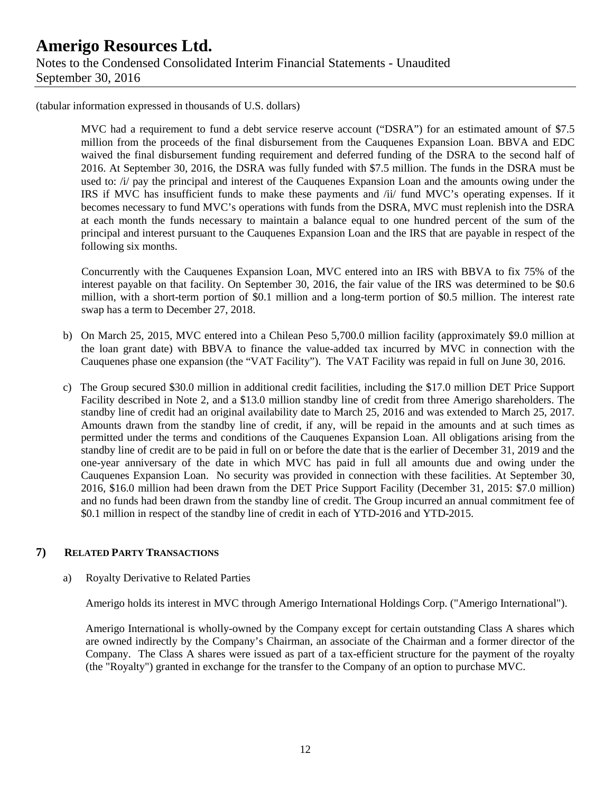(tabular information expressed in thousands of U.S. dollars)

MVC had a requirement to fund a debt service reserve account ("DSRA") for an estimated amount of \$7.5 million from the proceeds of the final disbursement from the Cauquenes Expansion Loan. BBVA and EDC waived the final disbursement funding requirement and deferred funding of the DSRA to the second half of 2016. At September 30, 2016, the DSRA was fully funded with \$7.5 million. The funds in the DSRA must be used to: /i/ pay the principal and interest of the Cauquenes Expansion Loan and the amounts owing under the IRS if MVC has insufficient funds to make these payments and /ii/ fund MVC's operating expenses. If it becomes necessary to fund MVC's operations with funds from the DSRA, MVC must replenish into the DSRA at each month the funds necessary to maintain a balance equal to one hundred percent of the sum of the principal and interest pursuant to the Cauquenes Expansion Loan and the IRS that are payable in respect of the following six months.

Concurrently with the Cauquenes Expansion Loan, MVC entered into an IRS with BBVA to fix 75% of the interest payable on that facility. On September 30, 2016, the fair value of the IRS was determined to be \$0.6 million, with a short-term portion of \$0.1 million and a long-term portion of \$0.5 million. The interest rate swap has a term to December 27, 2018.

- b) On March 25, 2015, MVC entered into a Chilean Peso 5,700.0 million facility (approximately \$9.0 million at the loan grant date) with BBVA to finance the value-added tax incurred by MVC in connection with the Cauquenes phase one expansion (the "VAT Facility"). The VAT Facility was repaid in full on June 30, 2016.
- c) The Group secured \$30.0 million in additional credit facilities, including the \$17.0 million DET Price Support Facility described in Note 2, and a \$13.0 million standby line of credit from three Amerigo shareholders. The standby line of credit had an original availability date to March 25, 2016 and was extended to March 25, 2017. Amounts drawn from the standby line of credit, if any, will be repaid in the amounts and at such times as permitted under the terms and conditions of the Cauquenes Expansion Loan. All obligations arising from the standby line of credit are to be paid in full on or before the date that is the earlier of December 31, 2019 and the one-year anniversary of the date in which MVC has paid in full all amounts due and owing under the Cauquenes Expansion Loan. No security was provided in connection with these facilities. At September 30, 2016, \$16.0 million had been drawn from the DET Price Support Facility (December 31, 2015: \$7.0 million) and no funds had been drawn from the standby line of credit. The Group incurred an annual commitment fee of \$0.1 million in respect of the standby line of credit in each of YTD-2016 and YTD-2015.

## **7) RELATED PARTY TRANSACTIONS**

### a) Royalty Derivative to Related Parties

Amerigo holds its interest in MVC through Amerigo International Holdings Corp. ("Amerigo International").

Amerigo International is wholly-owned by the Company except for certain outstanding Class A shares which are owned indirectly by the Company's Chairman, an associate of the Chairman and a former director of the Company. The Class A shares were issued as part of a tax-efficient structure for the payment of the royalty (the "Royalty") granted in exchange for the transfer to the Company of an option to purchase MVC.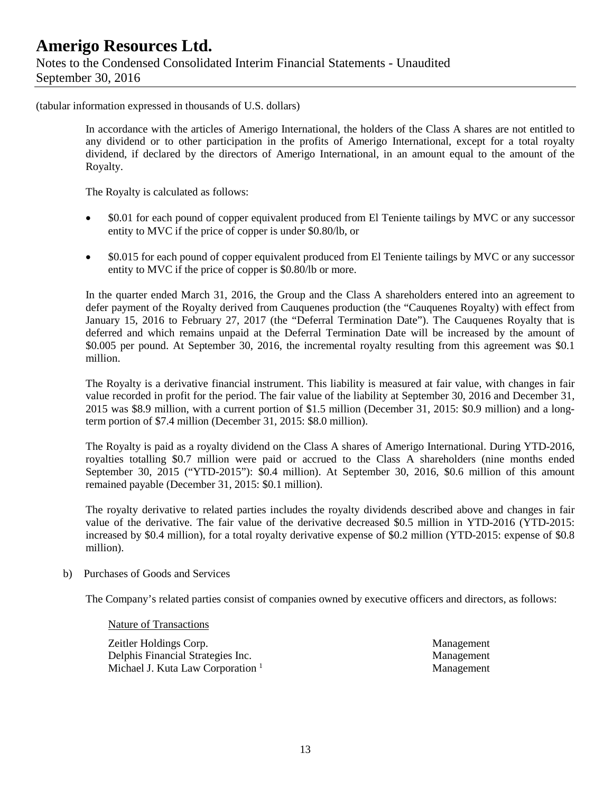(tabular information expressed in thousands of U.S. dollars)

In accordance with the articles of Amerigo International, the holders of the Class A shares are not entitled to any dividend or to other participation in the profits of Amerigo International, except for a total royalty dividend, if declared by the directors of Amerigo International, in an amount equal to the amount of the Royalty.

The Royalty is calculated as follows:

- \$0.01 for each pound of copper equivalent produced from El Teniente tailings by MVC or any successor entity to MVC if the price of copper is under \$0.80/lb, or
- \$0.015 for each pound of copper equivalent produced from El Teniente tailings by MVC or any successor entity to MVC if the price of copper is \$0.80/lb or more.

In the quarter ended March 31, 2016, the Group and the Class A shareholders entered into an agreement to defer payment of the Royalty derived from Cauquenes production (the "Cauquenes Royalty) with effect from January 15, 2016 to February 27, 2017 (the "Deferral Termination Date"). The Cauquenes Royalty that is deferred and which remains unpaid at the Deferral Termination Date will be increased by the amount of \$0.005 per pound. At September 30, 2016, the incremental royalty resulting from this agreement was \$0.1 million.

The Royalty is a derivative financial instrument. This liability is measured at fair value, with changes in fair value recorded in profit for the period. The fair value of the liability at September 30, 2016 and December 31, 2015 was \$8.9 million, with a current portion of \$1.5 million (December 31, 2015: \$0.9 million) and a longterm portion of \$7.4 million (December 31, 2015: \$8.0 million).

The Royalty is paid as a royalty dividend on the Class A shares of Amerigo International. During YTD-2016, royalties totalling \$0.7 million were paid or accrued to the Class A shareholders (nine months ended September 30, 2015 ("YTD-2015"): \$0.4 million). At September 30, 2016, \$0.6 million of this amount remained payable (December 31, 2015: \$0.1 million).

The royalty derivative to related parties includes the royalty dividends described above and changes in fair value of the derivative. The fair value of the derivative decreased \$0.5 million in YTD-2016 (YTD-2015: increased by \$0.4 million), for a total royalty derivative expense of \$0.2 million (YTD-2015: expense of \$0.8 million).

b) Purchases of Goods and Services

The Company's related parties consist of companies owned by executive officers and directors, as follows:

Nature of Transactions

Zeitler Holdings Corp. Management Delphis Financial Strategies Inc. Management Michael J. Kuta Law Corporation <sup>1</sup> and 1 and 2 Management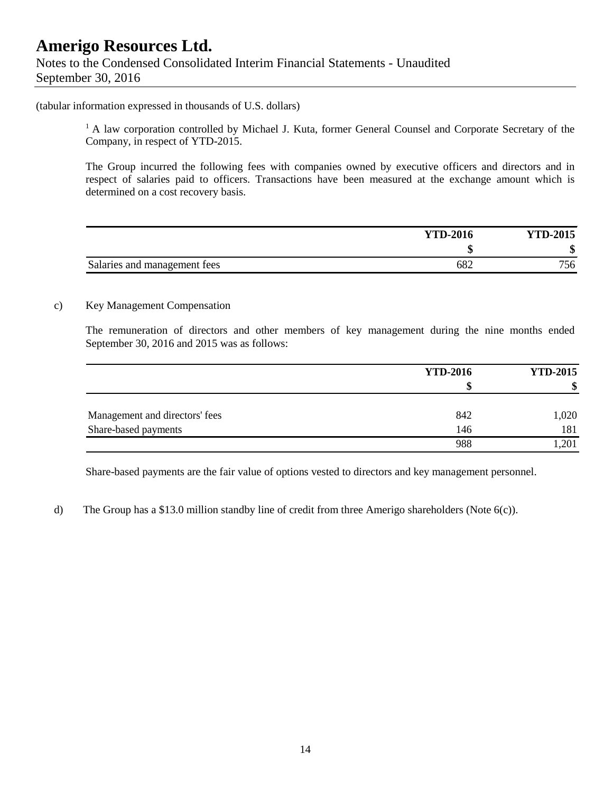#### (tabular information expressed in thousands of U.S. dollars)

<sup>1</sup> A law corporation controlled by Michael J. Kuta, former General Counsel and Corporate Secretary of the Company, in respect of YTD-2015.

The Group incurred the following fees with companies owned by executive officers and directors and in respect of salaries paid to officers. Transactions have been measured at the exchange amount which is determined on a cost recovery basis.

|                              | <b>YTD-2016</b> | <b>YTD-2015</b> |
|------------------------------|-----------------|-----------------|
|                              |                 | ጡ<br>۰D.        |
| Salaries and management fees | 682             | 756             |

#### c) Key Management Compensation

The remuneration of directors and other members of key management during the nine months ended September 30, 2016 and 2015 was as follows:

|                                | <b>YTD-2016</b> | <b>YTD-2015</b> |  |
|--------------------------------|-----------------|-----------------|--|
|                                |                 | \$              |  |
| Management and directors' fees | 842             | 1,020           |  |
| Share-based payments           | 146             | 181             |  |
|                                | 988             | 1,201           |  |

Share-based payments are the fair value of options vested to directors and key management personnel.

d) The Group has a \$13.0 million standby line of credit from three Amerigo shareholders (Note 6(c)).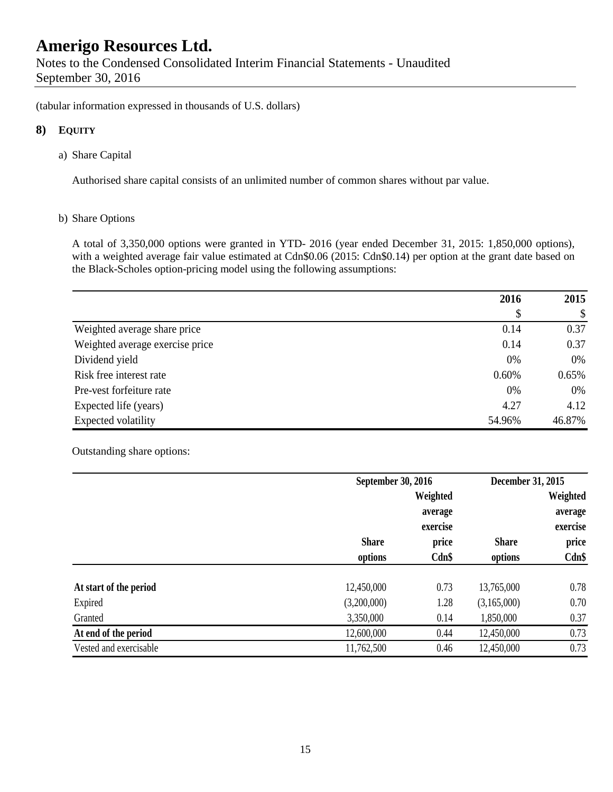Notes to the Condensed Consolidated Interim Financial Statements - Unaudited September 30, 2016

(tabular information expressed in thousands of U.S. dollars)

### **8) EQUITY**

a) Share Capital

Authorised share capital consists of an unlimited number of common shares without par value.

#### b) Share Options

A total of 3,350,000 options were granted in YTD- 2016 (year ended December 31, 2015: 1,850,000 options), with a weighted average fair value estimated at Cdn\$0.06 (2015: Cdn\$0.14) per option at the grant date based on the Black-Scholes option-pricing model using the following assumptions:

|                                 | 2016   | 2015   |
|---------------------------------|--------|--------|
|                                 | \$     | \$     |
| Weighted average share price    | 0.14   | 0.37   |
| Weighted average exercise price | 0.14   | 0.37   |
| Dividend yield                  | 0%     | 0%     |
| Risk free interest rate         | 0.60%  | 0.65%  |
| Pre-vest forfeiture rate        | 0%     | 0%     |
| Expected life (years)           | 4.27   | 4.12   |
| Expected volatility             | 54.96% | 46.87% |

### Outstanding share options:

|                        |              | September 30, 2016 |              | December 31, 2015 |  |
|------------------------|--------------|--------------------|--------------|-------------------|--|
|                        |              | Weighted           |              | Weighted          |  |
|                        |              | average            |              | average           |  |
|                        |              | exercise           |              | exercise          |  |
|                        | <b>Share</b> | price              | <b>Share</b> | price             |  |
|                        | options      | $Cdn$ \$           | options      | $Cdn$ \$          |  |
| At start of the period | 12,450,000   | 0.73               | 13,765,000   | 0.78              |  |
| Expired                | (3,200,000)  | 1.28               | (3,165,000)  | 0.70              |  |
| Granted                | 3,350,000    | 0.14               | 1,850,000    | 0.37              |  |
| At end of the period   | 12,600,000   | 0.44               | 12,450,000   | 0.73              |  |
| Vested and exercisable | 11,762,500   | 0.46               | 12,450,000   | 0.73              |  |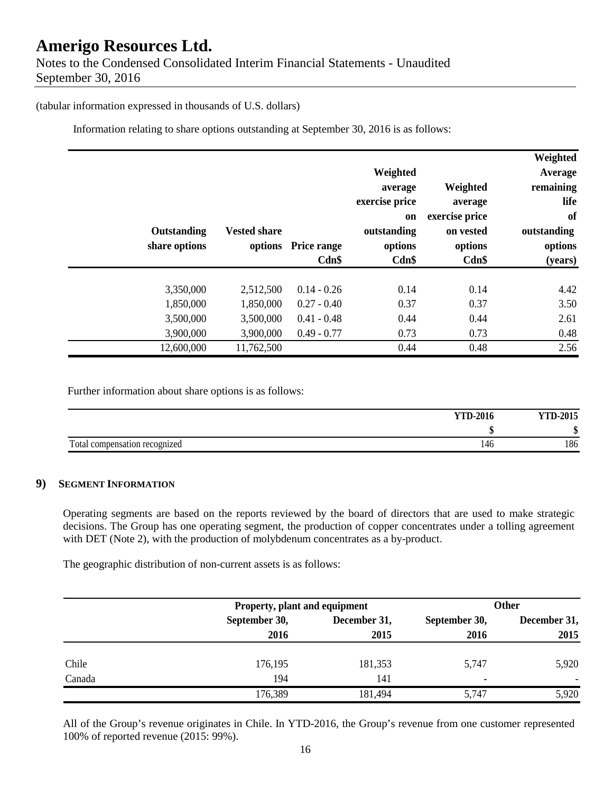#### (tabular information expressed in thousands of U.S. dollars)

Information relating to share options outstanding at September 30, 2016 is as follows:

|               |            |                     |                    |                |                | Weighted    |
|---------------|------------|---------------------|--------------------|----------------|----------------|-------------|
|               |            |                     |                    | Weighted       |                | Average     |
|               |            |                     |                    | average        | Weighted       | remaining   |
|               |            |                     |                    | exercise price | average        | life        |
|               |            |                     |                    | <sub>on</sub>  | exercise price | of          |
| Outstanding   |            | <b>Vested share</b> |                    | outstanding    | on vested      | outstanding |
| share options |            | options             | <b>Price range</b> | options        | options        | options     |
|               |            |                     | Cdn\$              | Cdn\$          | Cdn\$          | (years)     |
|               |            |                     |                    |                |                |             |
|               | 3,350,000  | 2,512,500           | $0.14 - 0.26$      | 0.14           | 0.14           | 4.42        |
|               | 1,850,000  | 1,850,000           | $0.27 - 0.40$      | 0.37           | 0.37           | 3.50        |
|               | 3,500,000  | 3,500,000           | $0.41 - 0.48$      | 0.44           | 0.44           | 2.61        |
|               | 3,900,000  | 3,900,000           | $0.49 - 0.77$      | 0.73           | 0.73           | 0.48        |
|               | 12,600,000 | 11,762,500          |                    | 0.44           | 0.48           | 2.56        |

Further information about share options is as follows:

| <b>YTD-2016</b>                      | <b>YTD-2015</b> |
|--------------------------------------|-----------------|
|                                      |                 |
| Total compensation recognized<br>146 | 186             |

### **9) SEGMENT INFORMATION**

Operating segments are based on the reports reviewed by the board of directors that are used to make strategic decisions. The Group has one operating segment, the production of copper concentrates under a tolling agreement with DET (Note 2), with the production of molybdenum concentrates as a by-product.

The geographic distribution of non-current assets is as follows:

|        |               | Property, plant and equipment |               |              |
|--------|---------------|-------------------------------|---------------|--------------|
|        | September 30, | December 31,                  | September 30, | December 31, |
|        | 2016          | 2015                          | 2016          | 2015         |
| Chile  | 176,195       | 181,353                       | 5,747         | 5,920        |
| Canada | 194           | 141                           | -             |              |
|        | 176,389       | 181,494                       | 5,747         | 5,920        |

All of the Group's revenue originates in Chile. In YTD-2016, the Group's revenue from one customer represented 100% of reported revenue (2015: 99%).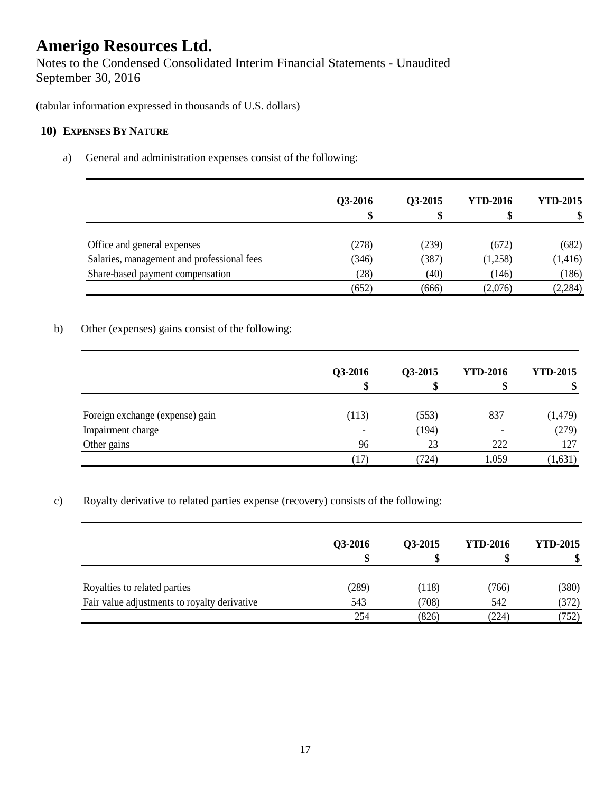Notes to the Condensed Consolidated Interim Financial Statements - Unaudited September 30, 2016

(tabular information expressed in thousands of U.S. dollars)

## **10) EXPENSES BY NATURE**

a) General and administration expenses consist of the following:

|                                            | Q3-2016 | <b>O3-2015</b> | <b>YTD-2016</b> | <b>YTD-2015</b> |
|--------------------------------------------|---------|----------------|-----------------|-----------------|
| Office and general expenses                | (278)   | (239)          | (672)           | (682)           |
| Salaries, management and professional fees | (346)   | (387)          | (1,258)         | (1, 416)        |
| Share-based payment compensation           | (28)    | (40)           | (146)           | (186)           |
|                                            | (652)   | (666)          | (2,076)         | (2, 284)        |

## b) Other (expenses) gains consist of the following:

|                                 | Q3-2016<br>\$            | Q3-2015 | <b>YTD-2016</b> | <b>YTD-2015</b><br>\$ |
|---------------------------------|--------------------------|---------|-----------------|-----------------------|
| Foreign exchange (expense) gain | (113)                    | (553)   | 837             | (1, 479)              |
| Impairment charge               | $\overline{\phantom{a}}$ | (194)   |                 | (279)                 |
| Other gains                     | 96                       | 23      | 222             | 127                   |
|                                 | 17)                      | (724)   | 1,059           | (1,631)               |

c) Royalty derivative to related parties expense (recovery) consists of the following:

|                                              | Q3-2016 | O3-2015 | <b>YTD-2016</b> | <b>YTD-2015</b> |
|----------------------------------------------|---------|---------|-----------------|-----------------|
| Royalties to related parties                 | (289)   | (118)   | (766)           | (380)           |
| Fair value adjustments to royalty derivative | 543     | (708)   | 542             | (372)           |
|                                              | 254     | (826)   | (224)           | (752)           |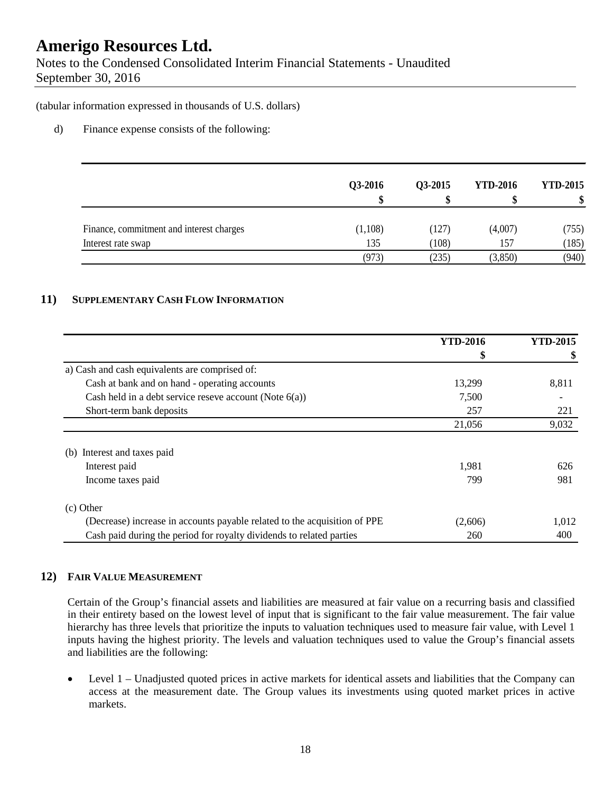Notes to the Condensed Consolidated Interim Financial Statements - Unaudited September 30, 2016

(tabular information expressed in thousands of U.S. dollars)

### d) Finance expense consists of the following:

|                                          | Q3-2016 | Q3-2015 | <b>YTD-2016</b> | <b>YTD-2015</b> |
|------------------------------------------|---------|---------|-----------------|-----------------|
| Finance, commitment and interest charges | (1,108) | (127)   | (4,007)         | (755)           |
| Interest rate swap                       | 135     | (108)   | 157             | (185)           |
|                                          | (973)   | (235)   | (3,850)         | (940)           |

### **11) SUPPLEMENTARY CASH FLOW INFORMATION**

|                                                                           | <b>YTD-2016</b> | <b>YTD-2015</b> |
|---------------------------------------------------------------------------|-----------------|-----------------|
|                                                                           | \$              | \$              |
| a) Cash and cash equivalents are comprised of:                            |                 |                 |
| Cash at bank and on hand - operating accounts                             | 13,299          | 8,811           |
| Cash held in a debt service reseve account (Note $6(a)$ )                 | 7,500           |                 |
| Short-term bank deposits                                                  | 257             | 221             |
|                                                                           | 21,056          | 9,032           |
| Interest and taxes paid<br>(b)                                            |                 |                 |
| Interest paid                                                             | 1,981           | 626             |
| Income taxes paid                                                         | 799             | 981             |
| (c) Other                                                                 |                 |                 |
| (Decrease) increase in accounts payable related to the acquisition of PPE | (2,606)         | 1,012           |
| Cash paid during the period for royalty dividends to related parties      | 260             | 400             |

## **12) FAIR VALUE MEASUREMENT**

Certain of the Group's financial assets and liabilities are measured at fair value on a recurring basis and classified in their entirety based on the lowest level of input that is significant to the fair value measurement. The fair value hierarchy has three levels that prioritize the inputs to valuation techniques used to measure fair value, with Level 1 inputs having the highest priority. The levels and valuation techniques used to value the Group's financial assets and liabilities are the following:

• Level 1 – Unadjusted quoted prices in active markets for identical assets and liabilities that the Company can access at the measurement date. The Group values its investments using quoted market prices in active markets.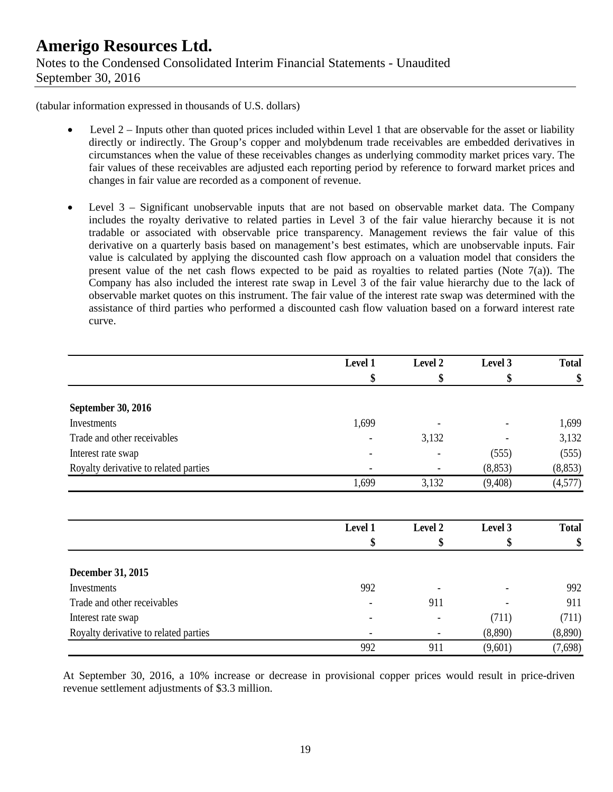(tabular information expressed in thousands of U.S. dollars)

- Level  $2$  Inputs other than quoted prices included within Level 1 that are observable for the asset or liability directly or indirectly. The Group's copper and molybdenum trade receivables are embedded derivatives in circumstances when the value of these receivables changes as underlying commodity market prices vary. The fair values of these receivables are adjusted each reporting period by reference to forward market prices and changes in fair value are recorded as a component of revenue.
- Level 3 Significant unobservable inputs that are not based on observable market data. The Company includes the royalty derivative to related parties in Level 3 of the fair value hierarchy because it is not tradable or associated with observable price transparency. Management reviews the fair value of this derivative on a quarterly basis based on management's best estimates, which are unobservable inputs. Fair value is calculated by applying the discounted cash flow approach on a valuation model that considers the present value of the net cash flows expected to be paid as royalties to related parties (Note 7(a)). The Company has also included the interest rate swap in Level 3 of the fair value hierarchy due to the lack of observable market quotes on this instrument. The fair value of the interest rate swap was determined with the assistance of third parties who performed a discounted cash flow valuation based on a forward interest rate curve.

|                                       | Level 1 | Level 2 | Level 3  | <b>Total</b> |
|---------------------------------------|---------|---------|----------|--------------|
|                                       | \$      | \$      | \$       | \$           |
| September 30, 2016                    |         |         |          |              |
| Investments                           | 1,699   |         |          | 1,699        |
| Trade and other receivables           |         | 3,132   |          | 3,132        |
| Interest rate swap                    |         |         | (555)    | (555)        |
| Royalty derivative to related parties |         |         | (8, 853) | (8, 853)     |
|                                       | 1,699   | 3,132   | (9,408)  | (4,577)      |
|                                       | Level 1 | Level 2 | Level 3  | <b>Total</b> |
|                                       | \$      | \$      | \$       | \$           |
| December 31, 2015                     |         |         |          |              |
| Investments                           | 992     |         |          | 992          |
| Trade and other receivables           |         | 911     |          | 911          |
| Interest rate swap                    |         |         | (711)    | (711)        |
| Royalty derivative to related parties |         |         | (8,890)  | (8,890)      |
|                                       | 992     | 911     | (9,601)  | (7,698)      |

At September 30, 2016, a 10% increase or decrease in provisional copper prices would result in price-driven revenue settlement adjustments of \$3.3 million.